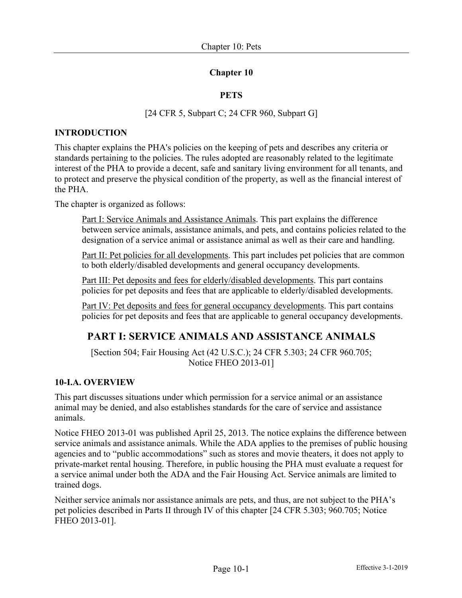# **Chapter 10**

## **PETS**

## [24 CFR 5, Subpart C; 24 CFR 960, Subpart G]

#### **INTRODUCTION**

This chapter explains the PHA's policies on the keeping of pets and describes any criteria or standards pertaining to the policies. The rules adopted are reasonably related to the legitimate interest of the PHA to provide a decent, safe and sanitary living environment for all tenants, and to protect and preserve the physical condition of the property, as well as the financial interest of the PHA.

The chapter is organized as follows:

Part I: Service Animals and Assistance Animals. This part explains the difference between service animals, assistance animals, and pets, and contains policies related to the designation of a service animal or assistance animal as well as their care and handling.

Part II: Pet policies for all developments. This part includes pet policies that are common to both elderly/disabled developments and general occupancy developments.

Part III: Pet deposits and fees for elderly/disabled developments. This part contains policies for pet deposits and fees that are applicable to elderly/disabled developments.

Part IV: Pet deposits and fees for general occupancy developments. This part contains policies for pet deposits and fees that are applicable to general occupancy developments.

# **PART I: SERVICE ANIMALS AND ASSISTANCE ANIMALS**

[Section 504; Fair Housing Act (42 U.S.C.); 24 CFR 5.303; 24 CFR 960.705; Notice FHEO 2013-01]

# **10-I.A. OVERVIEW**

This part discusses situations under which permission for a service animal or an assistance animal may be denied, and also establishes standards for the care of service and assistance animals.

Notice FHEO 2013-01 was published April 25, 2013. The notice explains the difference between service animals and assistance animals. While the ADA applies to the premises of public housing agencies and to "public accommodations" such as stores and movie theaters, it does not apply to private-market rental housing. Therefore, in public housing the PHA must evaluate a request for a service animal under both the ADA and the Fair Housing Act. Service animals are limited to trained dogs.

Neither service animals nor assistance animals are pets, and thus, are not subject to the PHA's pet policies described in Parts II through IV of this chapter [24 CFR 5.303; 960.705; Notice FHEO 2013-01].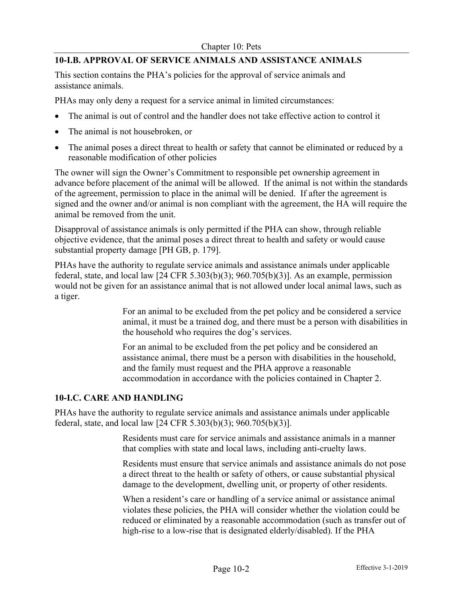# **10-I.B. APPROVAL OF SERVICE ANIMALS AND ASSISTANCE ANIMALS**

This section contains the PHA's policies for the approval of service animals and assistance animals.

PHAs may only deny a request for a service animal in limited circumstances:

- The animal is out of control and the handler does not take effective action to control it
- The animal is not housebroken, or
- The animal poses a direct threat to health or safety that cannot be eliminated or reduced by a reasonable modification of other policies

The owner will sign the Owner's Commitment to responsible pet ownership agreement in advance before placement of the animal will be allowed. If the animal is not within the standards of the agreement, permission to place in the animal will be denied. If after the agreement is signed and the owner and/or animal is non compliant with the agreement, the HA will require the animal be removed from the unit.

Disapproval of assistance animals is only permitted if the PHA can show, through reliable objective evidence, that the animal poses a direct threat to health and safety or would cause substantial property damage [PH GB, p. 179].

PHAs have the authority to regulate service animals and assistance animals under applicable federal, state, and local law  $[24 \text{ CFR } 5.303(b)(3); 960.705(b)(3)]$ . As an example, permission would not be given for an assistance animal that is not allowed under local animal laws, such as a tiger.

> For an animal to be excluded from the pet policy and be considered a service animal, it must be a trained dog, and there must be a person with disabilities in the household who requires the dog's services.

For an animal to be excluded from the pet policy and be considered an assistance animal, there must be a person with disabilities in the household, and the family must request and the PHA approve a reasonable accommodation in accordance with the policies contained in Chapter 2.

#### **10-I.C. CARE AND HANDLING**

PHAs have the authority to regulate service animals and assistance animals under applicable federal, state, and local law [24 CFR 5.303(b)(3); 960.705(b)(3)].

> Residents must care for service animals and assistance animals in a manner that complies with state and local laws, including anti-cruelty laws.

Residents must ensure that service animals and assistance animals do not pose a direct threat to the health or safety of others, or cause substantial physical damage to the development, dwelling unit, or property of other residents.

When a resident's care or handling of a service animal or assistance animal violates these policies, the PHA will consider whether the violation could be reduced or eliminated by a reasonable accommodation (such as transfer out of high-rise to a low-rise that is designated elderly/disabled). If the PHA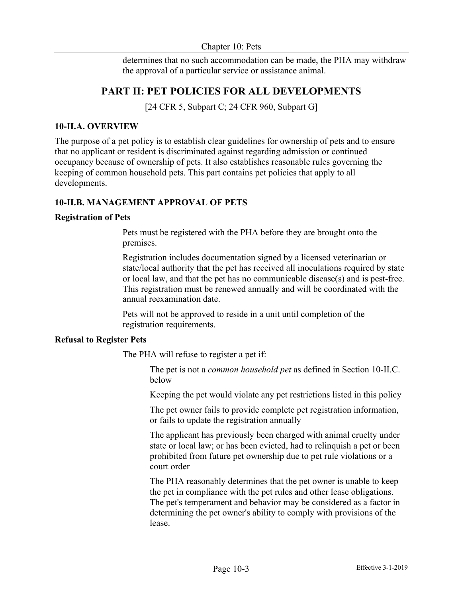determines that no such accommodation can be made, the PHA may withdraw the approval of a particular service or assistance animal.

# **PART II: PET POLICIES FOR ALL DEVELOPMENTS**

[24 CFR 5, Subpart C; 24 CFR 960, Subpart G]

#### **10-II.A. OVERVIEW**

The purpose of a pet policy is to establish clear guidelines for ownership of pets and to ensure that no applicant or resident is discriminated against regarding admission or continued occupancy because of ownership of pets. It also establishes reasonable rules governing the keeping of common household pets. This part contains pet policies that apply to all developments.

## **10-II.B. MANAGEMENT APPROVAL OF PETS**

#### **Registration of Pets**

Pets must be registered with the PHA before they are brought onto the premises.

Registration includes documentation signed by a licensed veterinarian or state/local authority that the pet has received all inoculations required by state or local law, and that the pet has no communicable disease(s) and is pest-free. This registration must be renewed annually and will be coordinated with the annual reexamination date.

Pets will not be approved to reside in a unit until completion of the registration requirements.

#### **Refusal to Register Pets**

The PHA will refuse to register a pet if:

The pet is not a *common household pet* as defined in Section 10-II.C. below

Keeping the pet would violate any pet restrictions listed in this policy

The pet owner fails to provide complete pet registration information, or fails to update the registration annually

The applicant has previously been charged with animal cruelty under state or local law; or has been evicted, had to relinquish a pet or been prohibited from future pet ownership due to pet rule violations or a court order

The PHA reasonably determines that the pet owner is unable to keep the pet in compliance with the pet rules and other lease obligations. The pet's temperament and behavior may be considered as a factor in determining the pet owner's ability to comply with provisions of the lease.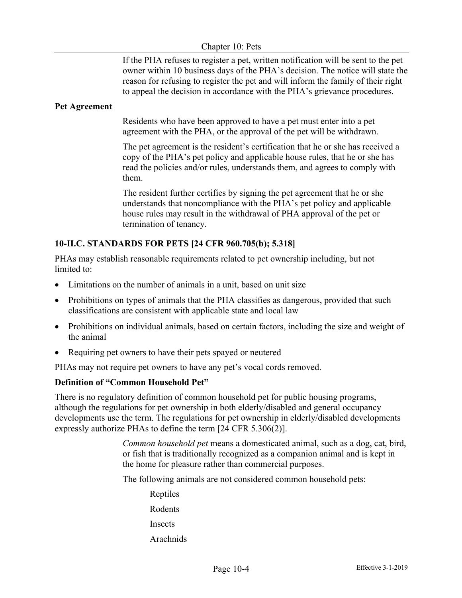#### Chapter 10: Pets

If the PHA refuses to register a pet, written notification will be sent to the pet owner within 10 business days of the PHA's decision. The notice will state the reason for refusing to register the pet and will inform the family of their right to appeal the decision in accordance with the PHA's grievance procedures.

#### **Pet Agreement**

Residents who have been approved to have a pet must enter into a pet agreement with the PHA, or the approval of the pet will be withdrawn.

The pet agreement is the resident's certification that he or she has received a copy of the PHA's pet policy and applicable house rules, that he or she has read the policies and/or rules, understands them, and agrees to comply with them.

The resident further certifies by signing the pet agreement that he or she understands that noncompliance with the PHA's pet policy and applicable house rules may result in the withdrawal of PHA approval of the pet or termination of tenancy.

## **10-II.C. STANDARDS FOR PETS [24 CFR 960.705(b); 5.318]**

PHAs may establish reasonable requirements related to pet ownership including, but not limited to:

- Limitations on the number of animals in a unit, based on unit size
- Prohibitions on types of animals that the PHA classifies as dangerous, provided that such classifications are consistent with applicable state and local law
- Prohibitions on individual animals, based on certain factors, including the size and weight of the animal
- Requiring pet owners to have their pets spayed or neutered

PHAs may not require pet owners to have any pet's vocal cords removed.

#### **Definition of "Common Household Pet"**

There is no regulatory definition of common household pet for public housing programs, although the regulations for pet ownership in both elderly/disabled and general occupancy developments use the term. The regulations for pet ownership in elderly/disabled developments expressly authorize PHAs to define the term [24 CFR 5.306(2)].

> *Common household pet* means a domesticated animal, such as a dog, cat, bird, or fish that is traditionally recognized as a companion animal and is kept in the home for pleasure rather than commercial purposes.

The following animals are not considered common household pets:

Reptiles Rodents Insects Arachnids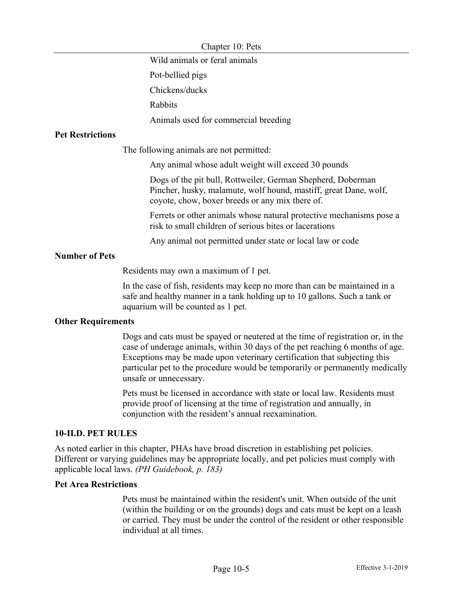#### Chapter 10: Pets

Wild animals or feral animals

Pot-bellied pigs

Chickens/ducks

Rabbits

Animals used for commercial breeding

## **Pet Restrictions**

The following animals are not permitted:

Any animal whose adult weight will exceed 30 pounds

Dogs of the pit bull, Rottweiler, German Shepherd, Doberman Pincher, husky, malamute, wolf hound, mastiff, great Dane, wolf, coyote, chow, boxer breeds or any mix there of.

Ferrets or other animals whose natural protective mechanisms pose a risk to small children of serious bites or lacerations

Any animal not permitted under state or local law or code

# **Number of Pets**

Residents may own a maximum of 1 pet.

In the case of fish, residents may keep no more than can be maintained in a safe and healthy manner in a tank holding up to 10 gallons. Such a tank or aquarium will be counted as 1 pet.

#### **Other Requirements**

Dogs and cats must be spayed or neutered at the time of registration or, in the case of underage animals, within 30 days of the pet reaching 6 months of age. Exceptions may be made upon veterinary certification that subjecting this particular pet to the procedure would be temporarily or permanently medically unsafe or unnecessary.

Pets must be licensed in accordance with state or local law. Residents must provide proof of licensing at the time of registration and annually, in conjunction with the resident's annual reexamination.

#### **10-II.D. PET RULES**

As noted earlier in this chapter, PHAs have broad discretion in establishing pet policies. Different or varying guidelines may be appropriate locally, and pet policies must comply with applicable local laws. *(PH Guidebook, p. 183)*

#### **Pet Area Restrictions**

Pets must be maintained within the resident's unit. When outside of the unit (within the building or on the grounds) dogs and cats must be kept on a leash or carried. They must be under the control of the resident or other responsible individual at all times.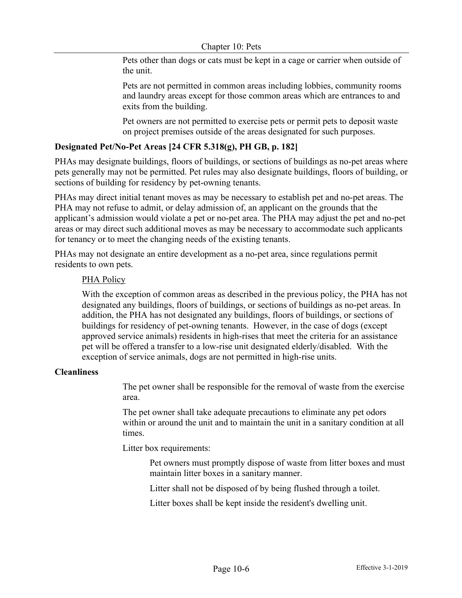Pets other than dogs or cats must be kept in a cage or carrier when outside of the unit.

Pets are not permitted in common areas including lobbies, community rooms and laundry areas except for those common areas which are entrances to and exits from the building.

Pet owners are not permitted to exercise pets or permit pets to deposit waste on project premises outside of the areas designated for such purposes.

#### **Designated Pet/No-Pet Areas [24 CFR 5.318(g), PH GB, p. 182]**

PHAs may designate buildings, floors of buildings, or sections of buildings as no-pet areas where pets generally may not be permitted. Pet rules may also designate buildings, floors of building, or sections of building for residency by pet-owning tenants.

PHAs may direct initial tenant moves as may be necessary to establish pet and no-pet areas. The PHA may not refuse to admit, or delay admission of, an applicant on the grounds that the applicant's admission would violate a pet or no-pet area. The PHA may adjust the pet and no-pet areas or may direct such additional moves as may be necessary to accommodate such applicants for tenancy or to meet the changing needs of the existing tenants.

PHAs may not designate an entire development as a no-pet area, since regulations permit residents to own pets.

#### PHA Policy

With the exception of common areas as described in the previous policy, the PHA has not designated any buildings, floors of buildings, or sections of buildings as no-pet areas. In addition, the PHA has not designated any buildings, floors of buildings, or sections of buildings for residency of pet-owning tenants. However, in the case of dogs (except approved service animals) residents in high-rises that meet the criteria for an assistance pet will be offered a transfer to a low-rise unit designated elderly/disabled. With the exception of service animals, dogs are not permitted in high-rise units.

#### **Cleanliness**

The pet owner shall be responsible for the removal of waste from the exercise area.

The pet owner shall take adequate precautions to eliminate any pet odors within or around the unit and to maintain the unit in a sanitary condition at all times.

Litter box requirements:

Pet owners must promptly dispose of waste from litter boxes and must maintain litter boxes in a sanitary manner.

Litter shall not be disposed of by being flushed through a toilet.

Litter boxes shall be kept inside the resident's dwelling unit.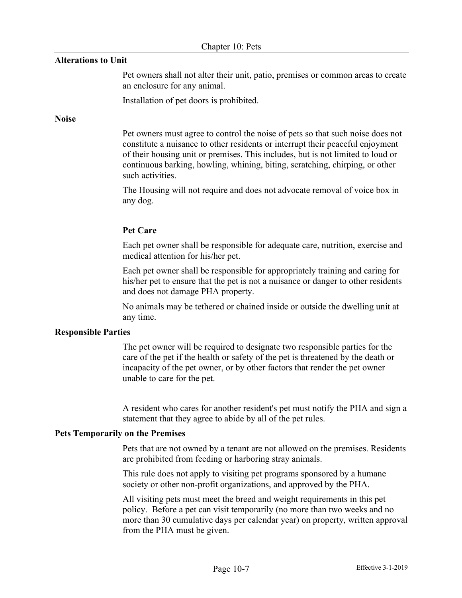#### **Alterations to Unit**

Pet owners shall not alter their unit, patio, premises or common areas to create an enclosure for any animal.

Installation of pet doors is prohibited.

#### **Noise**

Pet owners must agree to control the noise of pets so that such noise does not constitute a nuisance to other residents or interrupt their peaceful enjoyment of their housing unit or premises. This includes, but is not limited to loud or continuous barking, howling, whining, biting, scratching, chirping, or other such activities.

The Housing will not require and does not advocate removal of voice box in any dog.

#### **Pet Care**

Each pet owner shall be responsible for adequate care, nutrition, exercise and medical attention for his/her pet.

Each pet owner shall be responsible for appropriately training and caring for his/her pet to ensure that the pet is not a nuisance or danger to other residents and does not damage PHA property.

No animals may be tethered or chained inside or outside the dwelling unit at any time.

#### **Responsible Parties**

The pet owner will be required to designate two responsible parties for the care of the pet if the health or safety of the pet is threatened by the death or incapacity of the pet owner, or by other factors that render the pet owner unable to care for the pet.

A resident who cares for another resident's pet must notify the PHA and sign a statement that they agree to abide by all of the pet rules.

## **Pets Temporarily on the Premises**

Pets that are not owned by a tenant are not allowed on the premises. Residents are prohibited from feeding or harboring stray animals.

This rule does not apply to visiting pet programs sponsored by a humane society or other non-profit organizations, and approved by the PHA.

All visiting pets must meet the breed and weight requirements in this pet policy. Before a pet can visit temporarily (no more than two weeks and no more than 30 cumulative days per calendar year) on property, written approval from the PHA must be given.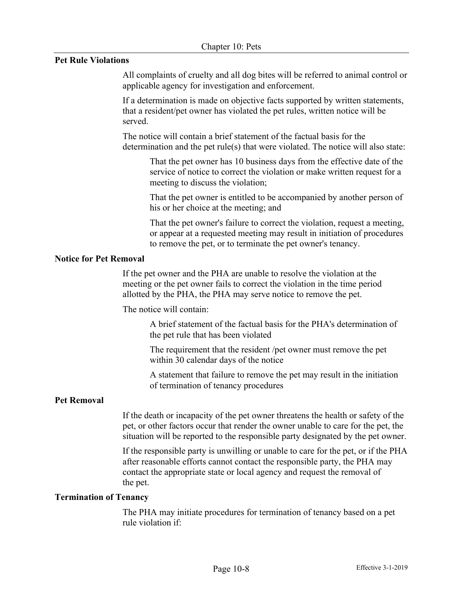#### **Pet Rule Violations**

All complaints of cruelty and all dog bites will be referred to animal control or applicable agency for investigation and enforcement.

If a determination is made on objective facts supported by written statements, that a resident/pet owner has violated the pet rules, written notice will be served.

The notice will contain a brief statement of the factual basis for the determination and the pet rule(s) that were violated. The notice will also state:

That the pet owner has 10 business days from the effective date of the service of notice to correct the violation or make written request for a meeting to discuss the violation;

That the pet owner is entitled to be accompanied by another person of his or her choice at the meeting; and

That the pet owner's failure to correct the violation, request a meeting, or appear at a requested meeting may result in initiation of procedures to remove the pet, or to terminate the pet owner's tenancy.

#### **Notice for Pet Removal**

If the pet owner and the PHA are unable to resolve the violation at the meeting or the pet owner fails to correct the violation in the time period allotted by the PHA, the PHA may serve notice to remove the pet.

The notice will contain:

A brief statement of the factual basis for the PHA's determination of the pet rule that has been violated

The requirement that the resident /pet owner must remove the pet within 30 calendar days of the notice

A statement that failure to remove the pet may result in the initiation of termination of tenancy procedures

#### **Pet Removal**

If the death or incapacity of the pet owner threatens the health or safety of the pet, or other factors occur that render the owner unable to care for the pet, the situation will be reported to the responsible party designated by the pet owner.

If the responsible party is unwilling or unable to care for the pet, or if the PHA after reasonable efforts cannot contact the responsible party, the PHA may contact the appropriate state or local agency and request the removal of the pet.

#### **Termination of Tenancy**

The PHA may initiate procedures for termination of tenancy based on a pet rule violation if: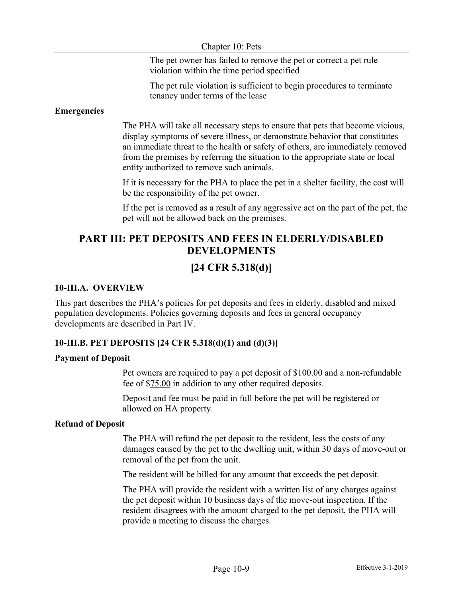Chapter 10: Pets

The pet owner has failed to remove the pet or correct a pet rule violation within the time period specified

The pet rule violation is sufficient to begin procedures to terminate tenancy under terms of the lease

# **Emergencies**

The PHA will take all necessary steps to ensure that pets that become vicious, display symptoms of severe illness, or demonstrate behavior that constitutes an immediate threat to the health or safety of others, are immediately removed from the premises by referring the situation to the appropriate state or local entity authorized to remove such animals.

If it is necessary for the PHA to place the pet in a shelter facility, the cost will be the responsibility of the pet owner.

If the pet is removed as a result of any aggressive act on the part of the pet, the pet will not be allowed back on the premises.

# **PART III: PET DEPOSITS AND FEES IN ELDERLY/DISABLED DEVELOPMENTS**

# **[24 CFR 5.318(d)]**

# **10-III.A. OVERVIEW**

This part describes the PHA's policies for pet deposits and fees in elderly, disabled and mixed population developments. Policies governing deposits and fees in general occupancy developments are described in Part IV.

# **10-III.B. PET DEPOSITS [24 CFR 5.318(d)(1) and (d)(3)]**

# **Payment of Deposit**

Pet owners are required to pay a pet deposit of \$100.00 and a non-refundable fee of \$75.00 in addition to any other required deposits.

Deposit and fee must be paid in full before the pet will be registered or allowed on HA property.

# **Refund of Deposit**

The PHA will refund the pet deposit to the resident, less the costs of any damages caused by the pet to the dwelling unit, within 30 days of move-out or removal of the pet from the unit.

The resident will be billed for any amount that exceeds the pet deposit.

The PHA will provide the resident with a written list of any charges against the pet deposit within 10 business days of the move-out inspection. If the resident disagrees with the amount charged to the pet deposit, the PHA will provide a meeting to discuss the charges.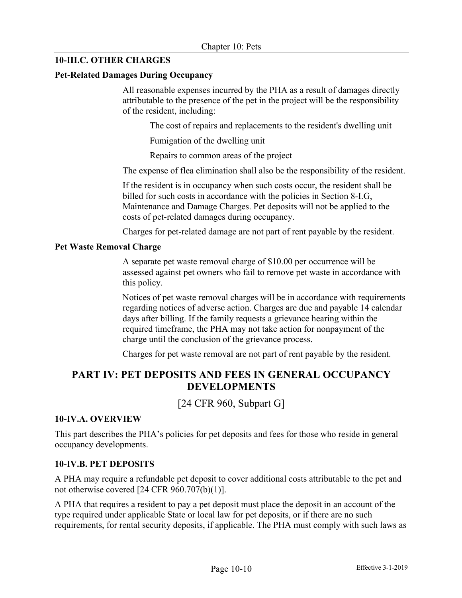# **10-III.C. OTHER CHARGES**

#### **Pet-Related Damages During Occupancy**

All reasonable expenses incurred by the PHA as a result of damages directly attributable to the presence of the pet in the project will be the responsibility of the resident, including:

The cost of repairs and replacements to the resident's dwelling unit

Fumigation of the dwelling unit

Repairs to common areas of the project

The expense of flea elimination shall also be the responsibility of the resident.

If the resident is in occupancy when such costs occur, the resident shall be billed for such costs in accordance with the policies in Section 8-I.G, Maintenance and Damage Charges. Pet deposits will not be applied to the costs of pet-related damages during occupancy.

Charges for pet-related damage are not part of rent payable by the resident.

## **Pet Waste Removal Charge**

A separate pet waste removal charge of \$10.00 per occurrence will be assessed against pet owners who fail to remove pet waste in accordance with this policy.

Notices of pet waste removal charges will be in accordance with requirements regarding notices of adverse action. Charges are due and payable 14 calendar days after billing. If the family requests a grievance hearing within the required timeframe, the PHA may not take action for nonpayment of the charge until the conclusion of the grievance process.

Charges for pet waste removal are not part of rent payable by the resident.

# **PART IV: PET DEPOSITS AND FEES IN GENERAL OCCUPANCY DEVELOPMENTS**

[24 CFR 960, Subpart G]

#### **10-IV.A. OVERVIEW**

This part describes the PHA's policies for pet deposits and fees for those who reside in general occupancy developments.

#### **10-IV.B. PET DEPOSITS**

A PHA may require a refundable pet deposit to cover additional costs attributable to the pet and not otherwise covered [24 CFR 960.707(b)(1)].

A PHA that requires a resident to pay a pet deposit must place the deposit in an account of the type required under applicable State or local law for pet deposits, or if there are no such requirements, for rental security deposits, if applicable. The PHA must comply with such laws as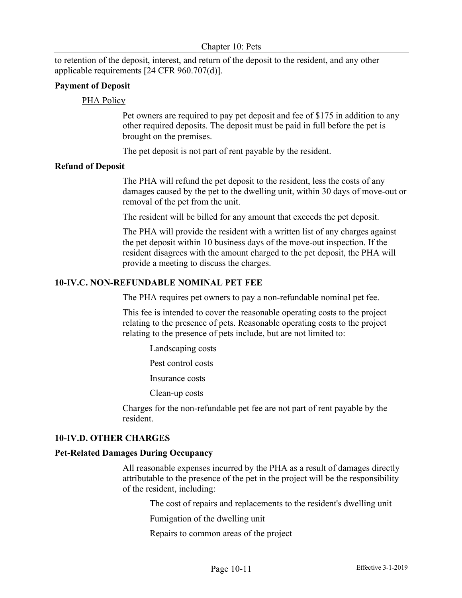to retention of the deposit, interest, and return of the deposit to the resident, and any other applicable requirements [24 CFR 960.707(d)].

## **Payment of Deposit**

PHA Policy

Pet owners are required to pay pet deposit and fee of \$175 in addition to any other required deposits. The deposit must be paid in full before the pet is brought on the premises.

The pet deposit is not part of rent payable by the resident.

#### **Refund of Deposit**

The PHA will refund the pet deposit to the resident, less the costs of any damages caused by the pet to the dwelling unit, within 30 days of move-out or removal of the pet from the unit.

The resident will be billed for any amount that exceeds the pet deposit.

The PHA will provide the resident with a written list of any charges against the pet deposit within 10 business days of the move-out inspection. If the resident disagrees with the amount charged to the pet deposit, the PHA will provide a meeting to discuss the charges.

#### **10-IV.C. NON-REFUNDABLE NOMINAL PET FEE**

The PHA requires pet owners to pay a non-refundable nominal pet fee.

This fee is intended to cover the reasonable operating costs to the project relating to the presence of pets. Reasonable operating costs to the project relating to the presence of pets include, but are not limited to:

Landscaping costs

Pest control costs

Insurance costs

Clean-up costs

Charges for the non-refundable pet fee are not part of rent payable by the resident.

#### **10-IV.D. OTHER CHARGES**

#### **Pet-Related Damages During Occupancy**

All reasonable expenses incurred by the PHA as a result of damages directly attributable to the presence of the pet in the project will be the responsibility of the resident, including:

The cost of repairs and replacements to the resident's dwelling unit

Fumigation of the dwelling unit

Repairs to common areas of the project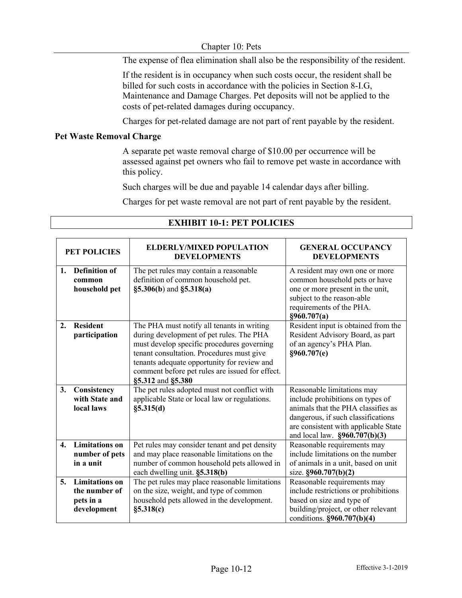The expense of flea elimination shall also be the responsibility of the resident.

If the resident is in occupancy when such costs occur, the resident shall be billed for such costs in accordance with the policies in Section 8-I.G, Maintenance and Damage Charges. Pet deposits will not be applied to the costs of pet-related damages during occupancy.

Charges for pet-related damage are not part of rent payable by the resident.

## **Pet Waste Removal Charge**

A separate pet waste removal charge of \$10.00 per occurrence will be assessed against pet owners who fail to remove pet waste in accordance with this policy.

Such charges will be due and payable 14 calendar days after billing.

Charges for pet waste removal are not part of rent payable by the resident.

| PET POLICIES       |                                                                    | <b>ELDERLY/MIXED POPULATION</b><br><b>DEVELOPMENTS</b>                                                                                                                                                                                                                                                   | <b>GENERAL OCCUPANCY</b><br><b>DEVELOPMENTS</b>                                                                                                                                                                         |
|--------------------|--------------------------------------------------------------------|----------------------------------------------------------------------------------------------------------------------------------------------------------------------------------------------------------------------------------------------------------------------------------------------------------|-------------------------------------------------------------------------------------------------------------------------------------------------------------------------------------------------------------------------|
| $\mathbf{1}$ .     | Definition of<br>common<br>household pet                           | The pet rules may contain a reasonable<br>definition of common household pet.<br>$\S5.306(b)$ and $\S5.318(a)$                                                                                                                                                                                           | A resident may own one or more<br>common household pets or have<br>one or more present in the unit,<br>subject to the reason-able<br>requirements of the PHA.<br>§960.707(a)                                            |
| 2.                 | <b>Resident</b><br>participation                                   | The PHA must notify all tenants in writing<br>during development of pet rules. The PHA<br>must develop specific procedures governing<br>tenant consultation. Procedures must give<br>tenants adequate opportunity for review and<br>comment before pet rules are issued for effect.<br>§5.312 and §5.380 | Resident input is obtained from the<br>Resident Advisory Board, as part<br>of an agency's PHA Plan.<br>§960.707(e)                                                                                                      |
| 3.                 | Consistency<br>with State and<br>local laws                        | The pet rules adopted must not conflict with<br>applicable State or local law or regulations.<br>§5.315(d)                                                                                                                                                                                               | Reasonable limitations may<br>include prohibitions on types of<br>animals that the PHA classifies as<br>dangerous, if such classifications<br>are consistent with applicable State<br>and local law. $\S 960.707(b)(3)$ |
| $\boldsymbol{4}$ . | <b>Limitations</b> on<br>number of pets<br>in a unit               | Pet rules may consider tenant and pet density<br>and may place reasonable limitations on the<br>number of common household pets allowed in<br>each dwelling unit. §5.318(b)                                                                                                                              | Reasonable requirements may<br>include limitations on the number<br>of animals in a unit, based on unit<br>size. $§960.707(b)(2)$                                                                                       |
| 5.                 | <b>Limitations</b> on<br>the number of<br>pets in a<br>development | The pet rules may place reasonable limitations<br>on the size, weight, and type of common<br>household pets allowed in the development.<br>§5.318(c)                                                                                                                                                     | Reasonable requirements may<br>include restrictions or prohibitions<br>based on size and type of<br>building/project, or other relevant<br>conditions. §960.707(b)(4)                                                   |

# **EXHIBIT 10-1: PET POLICIES**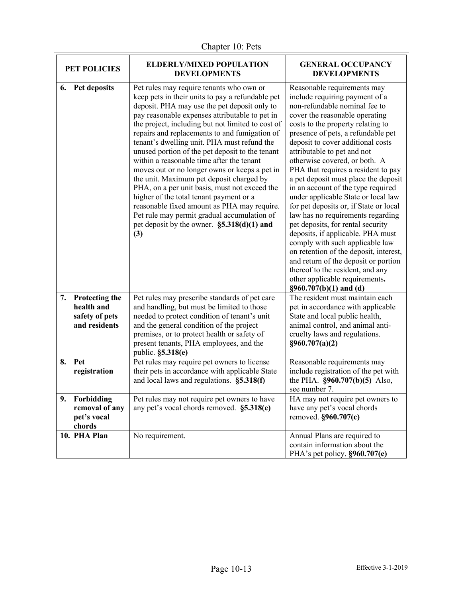Chapter 10: Pets

| PET POLICIES |                                                                 | <b>ELDERLY/MIXED POPULATION</b><br><b>DEVELOPMENTS</b>                                                                                                                                                                                                                                                                                                                                                                                                                                                                                                                                                                                                                                                                                                                                              | <b>GENERAL OCCUPANCY</b><br><b>DEVELOPMENTS</b>                                                                                                                                                                                                                                                                                                                                                                                                                                                                                                                                                                                                                                                                                                                                                                                                              |
|--------------|-----------------------------------------------------------------|-----------------------------------------------------------------------------------------------------------------------------------------------------------------------------------------------------------------------------------------------------------------------------------------------------------------------------------------------------------------------------------------------------------------------------------------------------------------------------------------------------------------------------------------------------------------------------------------------------------------------------------------------------------------------------------------------------------------------------------------------------------------------------------------------------|--------------------------------------------------------------------------------------------------------------------------------------------------------------------------------------------------------------------------------------------------------------------------------------------------------------------------------------------------------------------------------------------------------------------------------------------------------------------------------------------------------------------------------------------------------------------------------------------------------------------------------------------------------------------------------------------------------------------------------------------------------------------------------------------------------------------------------------------------------------|
|              | 6. Pet deposits                                                 | Pet rules may require tenants who own or<br>keep pets in their units to pay a refundable pet<br>deposit. PHA may use the pet deposit only to<br>pay reasonable expenses attributable to pet in<br>the project, including but not limited to cost of<br>repairs and replacements to and fumigation of<br>tenant's dwelling unit. PHA must refund the<br>unused portion of the pet deposit to the tenant<br>within a reasonable time after the tenant<br>moves out or no longer owns or keeps a pet in<br>the unit. Maximum pet deposit charged by<br>PHA, on a per unit basis, must not exceed the<br>higher of the total tenant payment or a<br>reasonable fixed amount as PHA may require.<br>Pet rule may permit gradual accumulation of<br>pet deposit by the owner. $\S$ 5.318(d)(1) and<br>(3) | Reasonable requirements may<br>include requiring payment of a<br>non-refundable nominal fee to<br>cover the reasonable operating<br>costs to the property relating to<br>presence of pets, a refundable pet<br>deposit to cover additional costs<br>attributable to pet and not<br>otherwise covered, or both. A<br>PHA that requires a resident to pay<br>a pet deposit must place the deposit<br>in an account of the type required<br>under applicable State or local law<br>for pet deposits or, if State or local<br>law has no requirements regarding<br>pet deposits, for rental security<br>deposits, if applicable. PHA must<br>comply with such applicable law<br>on retention of the deposit, interest,<br>and return of the deposit or portion<br>thereof to the resident, and any<br>other applicable requirements.<br>$§960.707(b)(1)$ and (d) |
| 7.           | Protecting the<br>health and<br>safety of pets<br>and residents | Pet rules may prescribe standards of pet care<br>and handling, but must be limited to those<br>needed to protect condition of tenant's unit<br>and the general condition of the project<br>premises, or to protect health or safety of<br>present tenants, PHA employees, and the<br>public. §5.318(e)                                                                                                                                                                                                                                                                                                                                                                                                                                                                                              | The resident must maintain each<br>pet in accordance with applicable<br>State and local public health,<br>animal control, and animal anti-<br>cruelty laws and regulations.<br>§960.707(a)(2)                                                                                                                                                                                                                                                                                                                                                                                                                                                                                                                                                                                                                                                                |
| 8.           | Pet<br>registration                                             | Pet rules may require pet owners to license<br>their pets in accordance with applicable State<br>and local laws and regulations. §5.318(f)                                                                                                                                                                                                                                                                                                                                                                                                                                                                                                                                                                                                                                                          | Reasonable requirements may<br>include registration of the pet with<br>the PHA. §960.707(b)(5) Also,<br>see number 7.                                                                                                                                                                                                                                                                                                                                                                                                                                                                                                                                                                                                                                                                                                                                        |
| 9.           | Forbidding<br>removal of any<br>pet's vocal<br>chords           | Pet rules may not require pet owners to have<br>any pet's vocal chords removed. §5.318(e)                                                                                                                                                                                                                                                                                                                                                                                                                                                                                                                                                                                                                                                                                                           | HA may not require pet owners to<br>have any pet's vocal chords<br>removed. §960.707(c)                                                                                                                                                                                                                                                                                                                                                                                                                                                                                                                                                                                                                                                                                                                                                                      |
|              | 10. PHA Plan                                                    | No requirement.                                                                                                                                                                                                                                                                                                                                                                                                                                                                                                                                                                                                                                                                                                                                                                                     | Annual Plans are required to<br>contain information about the<br>PHA's pet policy. §960.707(e)                                                                                                                                                                                                                                                                                                                                                                                                                                                                                                                                                                                                                                                                                                                                                               |